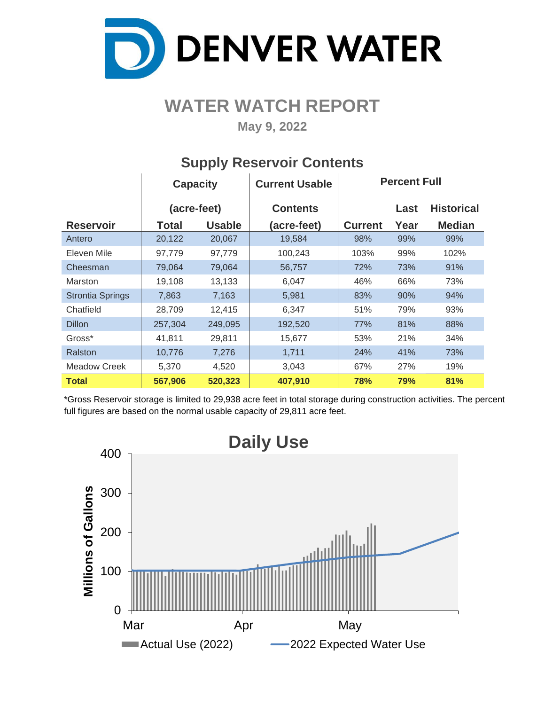

# **WATER WATCH REPORT**

**May 9, 2022**

|                         | <b>Capacity</b> |               | <b>Current Usable</b> | <b>Percent Full</b> |      |                   |  |  |  |
|-------------------------|-----------------|---------------|-----------------------|---------------------|------|-------------------|--|--|--|
|                         | (acre-feet)     |               | <b>Contents</b>       |                     | Last | <b>Historical</b> |  |  |  |
| <b>Reservoir</b>        | Total           | <b>Usable</b> | (acre-feet)           | <b>Current</b>      | Year | <b>Median</b>     |  |  |  |
| Antero                  | 20,122          | 20,067        | 19,584                | 98%                 | 99%  | 99%               |  |  |  |
| Eleven Mile             | 97,779          | 97,779        | 100,243               | 103%                | 99%  | 102%              |  |  |  |
| Cheesman                | 79,064          | 79,064        | 56,757                | 72%                 | 73%  | 91%               |  |  |  |
| Marston                 | 19,108          | 13,133        | 6,047                 | 46%                 | 66%  | 73%               |  |  |  |
| <b>Strontia Springs</b> | 7,863           | 7,163         | 5,981                 | 83%                 | 90%  | 94%               |  |  |  |
| Chatfield               | 28,709          | 12,415        | 6,347                 | 51%                 | 79%  | 93%               |  |  |  |
| <b>Dillon</b>           | 257,304         | 249,095       | 192,520               | 77%                 | 81%  | 88%               |  |  |  |
| Gross*                  | 41,811          | 29,811        | 15,677                | 53%                 | 21%  | 34%               |  |  |  |
| Ralston                 | 10,776          | 7,276         | 1,711                 | 24%                 | 41%  | 73%               |  |  |  |
| <b>Meadow Creek</b>     | 5,370           | 4,520         | 3,043                 | 67%                 | 27%  | 19%               |  |  |  |
| <b>Total</b>            | 567,906         | 520,323       | 407,910               | 78%                 | 79%  | 81%               |  |  |  |

### **Supply Reservoir Contents**

\*Gross Reservoir storage is limited to 29,938 acre feet in total storage during construction activities. The percent full figures are based on the normal usable capacity of 29,811 acre feet.

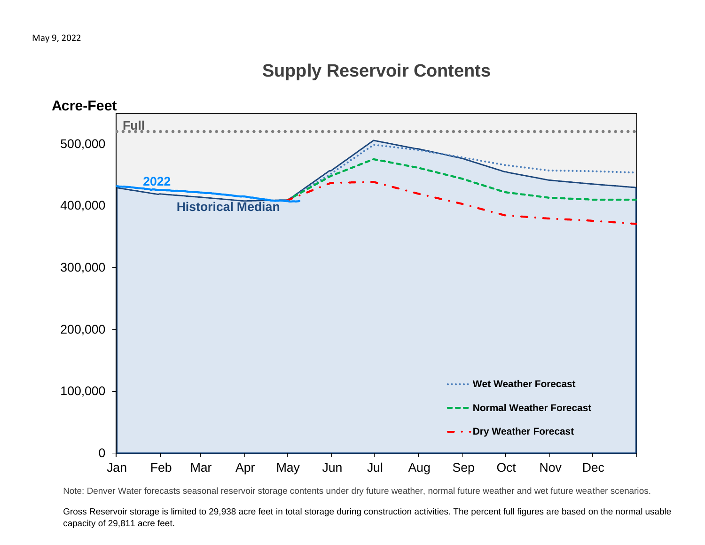## **Supply Reservoir Contents**



Note: Denver Water forecasts seasonal reservoir storage contents under dry future weather, normal future weather and wet future weather scenarios.

Gross Reservoir storage is limited to 29,938 acre feet in total storage during construction activities. The percent full figures are based on the normal usable capacity of 29,811 acre feet.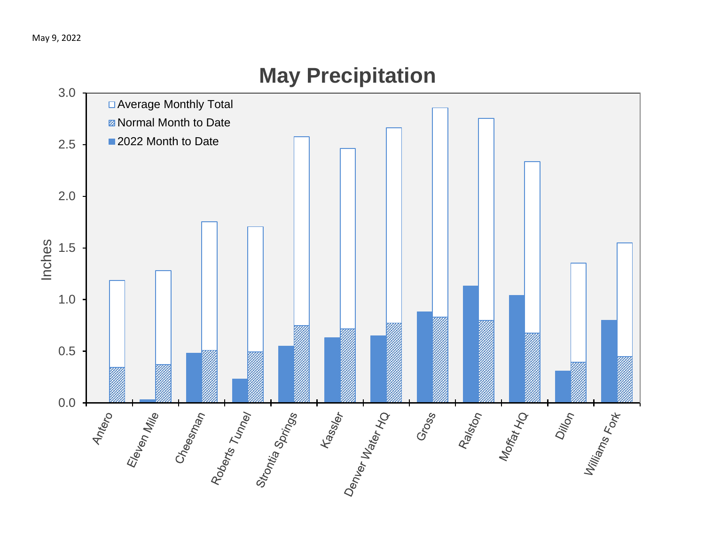

# **May Precipitation**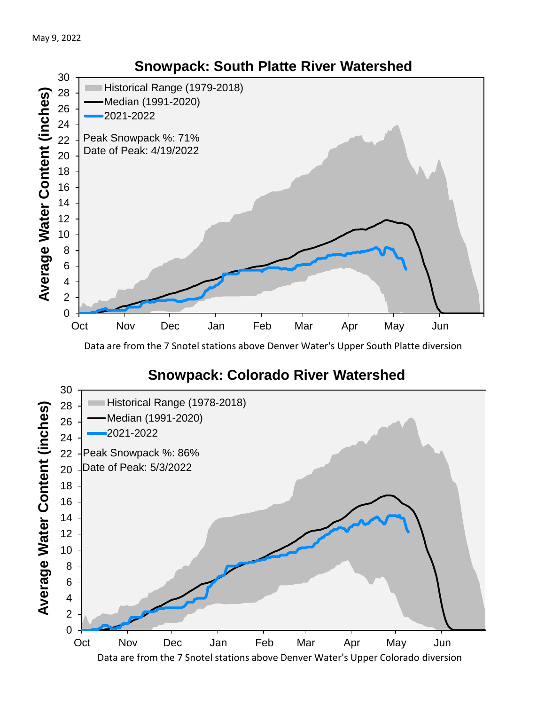

Data are from the 7 Snotel stations above Denver Water's Upper South Platte diversion

## **Snowpack: Colorado River Watershed**

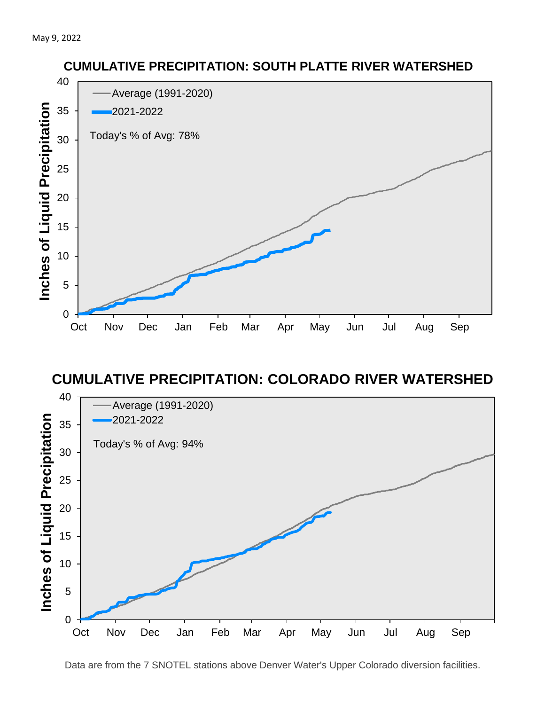

#### **CUMULATIVE PRECIPITATION: COLORADO RIVER WATERSHED**



**CUMULATIVE PRECIPITATION: SOUTH PLATTE RIVER WATERSHED**

Data are from the 7 SNOTEL stations above Denver Water's Upper Colorado diversion facilities.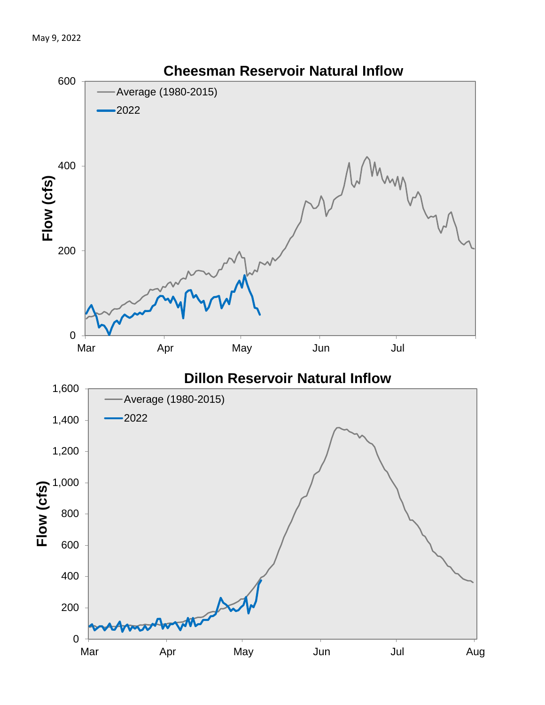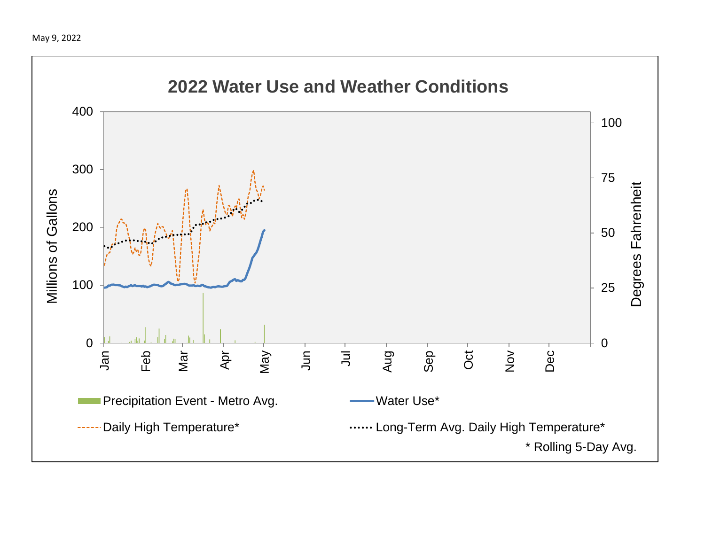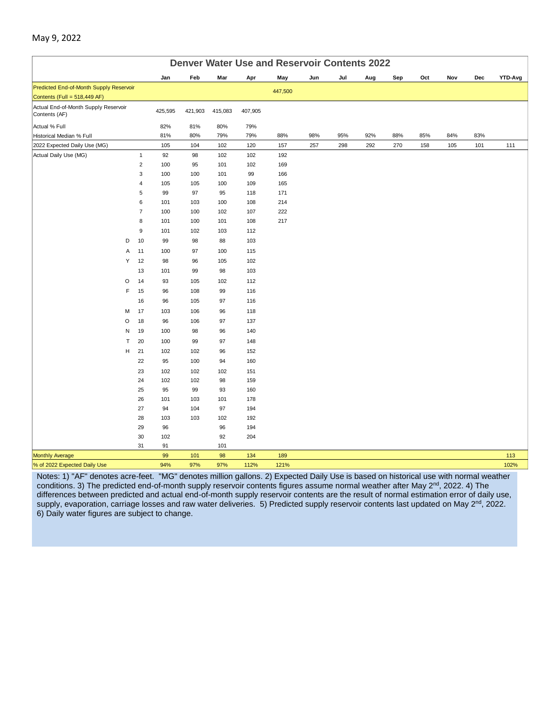|                                                       | <b>Denver Water Use and Reservoir Contents 2022</b> |            |            |            |            |     |     |     |     |     |     |     |         |
|-------------------------------------------------------|-----------------------------------------------------|------------|------------|------------|------------|-----|-----|-----|-----|-----|-----|-----|---------|
|                                                       | Jan                                                 | Feb        | Mar        | Apr        | May        | Jun | Jul | Aug | Sep | Oct | Nov | Dec | YTD-Avg |
| Predicted End-of-Month Supply Reservoir               |                                                     |            |            |            | 447,500    |     |     |     |     |     |     |     |         |
| Contents (Full = 518,449 AF)                          |                                                     |            |            |            |            |     |     |     |     |     |     |     |         |
| Actual End-of-Month Supply Reservoir<br>Contents (AF) | 425,595                                             | 421,903    | 415,083    | 407,905    |            |     |     |     |     |     |     |     |         |
| Actual % Full                                         | 82%                                                 | 81%        | 80%        | 79%        |            |     |     |     |     |     |     |     |         |
| Historical Median % Full                              | 81%                                                 | 80%        | 79%        | 79%        | 88%        | 98% | 95% | 92% | 88% | 85% | 84% | 83% |         |
| 2022 Expected Daily Use (MG)                          | 105                                                 | 104        | 102        | 120        | 157        | 257 | 298 | 292 | 270 | 158 | 105 | 101 | 111     |
| Actual Daily Use (MG)                                 | $\mathbf{1}$<br>92                                  | 98         | 102        | 102        | 192        |     |     |     |     |     |     |     |         |
|                                                       | $\overline{2}$<br>100                               | 95         | 101        | 102        | 169        |     |     |     |     |     |     |     |         |
|                                                       | $\mathsf 3$<br>100                                  | 100        | 101        | 99         | 166        |     |     |     |     |     |     |     |         |
|                                                       | 4<br>105                                            | 105        | 100        | 109        | 165        |     |     |     |     |     |     |     |         |
|                                                       | 5<br>99                                             | 97         | 95         | 118        | 171        |     |     |     |     |     |     |     |         |
|                                                       | 6<br>101                                            | 103        | 100        | 108        | 214        |     |     |     |     |     |     |     |         |
|                                                       | $\overline{7}$<br>100<br>8<br>101                   | 100<br>100 | 102<br>101 | 107<br>108 | 222<br>217 |     |     |     |     |     |     |     |         |
|                                                       | $\mathsf g$                                         |            |            | 112        |            |     |     |     |     |     |     |     |         |
| D                                                     | 101<br>10<br>99                                     | 102<br>98  | 103<br>88  |            |            |     |     |     |     |     |     |     |         |
| Α                                                     | 11                                                  |            |            | 103<br>115 |            |     |     |     |     |     |     |     |         |
| Υ                                                     | 100<br>12                                           | 97         | 100        |            |            |     |     |     |     |     |     |     |         |
|                                                       | 98<br>13                                            | 96         | 105        | 102        |            |     |     |     |     |     |     |     |         |
|                                                       | 101                                                 | 99         | 98         | 103        |            |     |     |     |     |     |     |     |         |
| O                                                     | 14<br>93                                            | 105        | 102        | 112        |            |     |     |     |     |     |     |     |         |
| F                                                     | 15<br>96                                            | 108        | 99         | 116        |            |     |     |     |     |     |     |     |         |
|                                                       | 16<br>96                                            | 105        | 97         | 116        |            |     |     |     |     |     |     |     |         |
| М                                                     | 17<br>103                                           | 106        | 96         | 118        |            |     |     |     |     |     |     |     |         |
| O                                                     | 18<br>96                                            | 106        | 97         | 137        |            |     |     |     |     |     |     |     |         |
| N                                                     | 19<br>100                                           | 98         | 96         | 140        |            |     |     |     |     |     |     |     |         |
| T                                                     | 20<br>100                                           | 99         | 97         | 148        |            |     |     |     |     |     |     |     |         |
| н                                                     | 21<br>102<br>22<br>95                               | 102        | 96         | 152        |            |     |     |     |     |     |     |     |         |
|                                                       |                                                     | 100        | 94         | 160        |            |     |     |     |     |     |     |     |         |
|                                                       | 23<br>102<br>24<br>102                              | 102<br>102 | 102<br>98  | 151<br>159 |            |     |     |     |     |     |     |     |         |
|                                                       | 25<br>95                                            | 99         | 93         | 160        |            |     |     |     |     |     |     |     |         |
|                                                       | 26<br>101                                           | 103        | 101        | 178        |            |     |     |     |     |     |     |     |         |
|                                                       | 27<br>94                                            | 104        | 97         | 194        |            |     |     |     |     |     |     |     |         |
|                                                       | 28<br>103                                           | 103        | 102        | 192        |            |     |     |     |     |     |     |     |         |
|                                                       | 29<br>96                                            |            | 96         | 194        |            |     |     |     |     |     |     |     |         |
|                                                       | 30<br>102                                           |            | 92         | 204        |            |     |     |     |     |     |     |     |         |
|                                                       | 31<br>91                                            |            | 101        |            |            |     |     |     |     |     |     |     |         |
| <b>Monthly Average</b>                                | 99                                                  | 101        | 98         | 134        | 189        |     |     |     |     |     |     |     | 113     |
| % of 2022 Expected Daily Use                          | 94%                                                 | 97%        | 97%        | 112%       | 121%       |     |     |     |     |     |     |     | 102%    |

Notes: 1) "AF" denotes acre-feet. "MG" denotes million gallons. 2) Expected Daily Use is based on historical use with normal weather conditions. 3) The predicted end-of-month supply reservoir contents figures assume normal weather after May 2<sup>nd</sup>, 2022. 4) The differences between predicted and actual end-of-month supply reservoir contents are the result of normal estimation error of daily use, supply, evaporation, carriage losses and raw water deliveries. 5) Predicted supply reservoir contents last updated on May 2<sup>nd</sup>, 2022. 6) Daily water figures are subject to change.